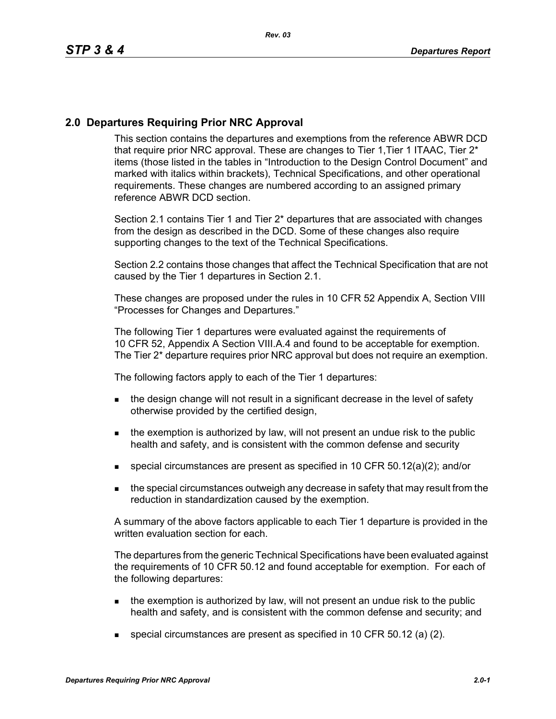## **2.0 Departures Requiring Prior NRC Approval**

This section contains the departures and exemptions from the reference ABWR DCD that require prior NRC approval. These are changes to Tier 1, Tier 1 ITAAC, Tier 2<sup>\*</sup> items (those listed in the tables in "Introduction to the Design Control Document" and marked with italics within brackets), Technical Specifications, and other operational requirements. These changes are numbered according to an assigned primary reference ABWR DCD section.

Section 2.1 contains Tier 1 and Tier 2\* departures that are associated with changes from the design as described in the DCD. Some of these changes also require supporting changes to the text of the Technical Specifications.

Section 2.2 contains those changes that affect the Technical Specification that are not caused by the Tier 1 departures in Section 2.1.

These changes are proposed under the rules in 10 CFR 52 Appendix A, Section VIII "Processes for Changes and Departures."

The following Tier 1 departures were evaluated against the requirements of 10 CFR 52, Appendix A Section VIII.A.4 and found to be acceptable for exemption. The Tier 2\* departure requires prior NRC approval but does not require an exemption.

The following factors apply to each of the Tier 1 departures:

- **the design change will not result in a significant decrease in the level of safety** otherwise provided by the certified design,
- $\blacksquare$  the exemption is authorized by law, will not present an undue risk to the public health and safety, and is consistent with the common defense and security
- **special circumstances are present as specified in 10 CFR 50.12(a)(2); and/or**
- the special circumstances outweigh any decrease in safety that may result from the reduction in standardization caused by the exemption.

A summary of the above factors applicable to each Tier 1 departure is provided in the written evaluation section for each.

The departures from the generic Technical Specifications have been evaluated against the requirements of 10 CFR 50.12 and found acceptable for exemption. For each of the following departures:

- $\blacksquare$  the exemption is authorized by law, will not present an undue risk to the public health and safety, and is consistent with the common defense and security; and
- special circumstances are present as specified in 10 CFR 50.12 (a) (2).